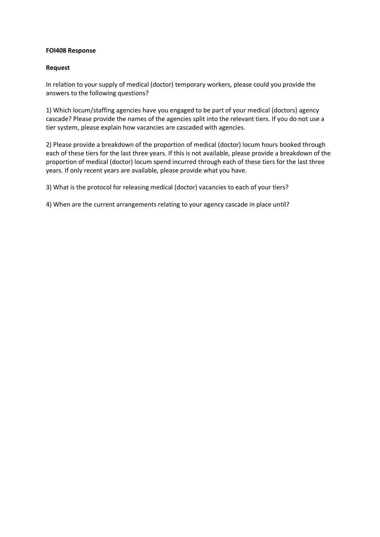## **FOI408 Response**

## **Request**

In relation to your supply of medical (doctor) temporary workers, please could you provide the answers to the following questions?

1) Which locum/staffing agencies have you engaged to be part of your medical (doctors) agency cascade? Please provide the names of the agencies split into the relevant tiers. If you do not use a tier system, please explain how vacancies are cascaded with agencies.

2) Please provide a breakdown of the proportion of medical (doctor) locum hours booked through each of these tiers for the last three years. If this is not available, please provide a breakdown of the proportion of medical (doctor) locum spend incurred through each of these tiers for the last three years. If only recent years are available, please provide what you have.

3) What is the protocol for releasing medical (doctor) vacancies to each of your tiers?

4) When are the current arrangements relating to your agency cascade in place until?